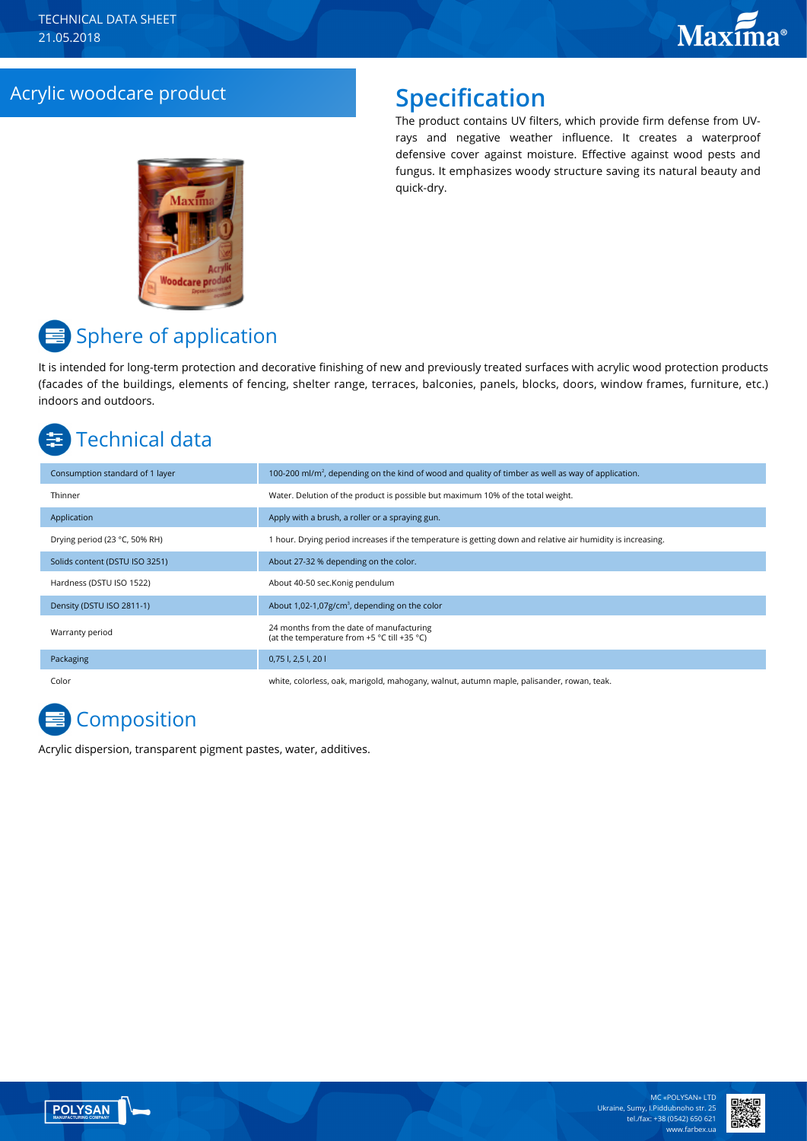## Acrylic woodcare product **Specification**

The product contains UV filters, which provide firm defense from UVrays and negative weather influence. It creates a waterproof defensive cover against moisture. Effective against wood pests and fungus. It emphasizes woody structure saving its natural beauty and quick-dry.



# **■** Sphere of application

It is intended for long-term protection and decorative finishing of new and previously treated surfaces with acrylic wood protection products (facades of the buildings, elements of fencing, shelter range, terraces, balconies, panels, blocks, doors, window frames, furniture, etc.) indoors and outdoors.

# Technical data

| Consumption standard of 1 layer | 100-200 ml/m <sup>2</sup> , depending on the kind of wood and quality of timber as well as way of application. |
|---------------------------------|----------------------------------------------------------------------------------------------------------------|
| Thinner                         | Water. Delution of the product is possible but maximum 10% of the total weight.                                |
| Application                     | Apply with a brush, a roller or a spraying gun.                                                                |
| Drying period (23 °C, 50% RH)   | 1 hour. Drying period increases if the temperature is getting down and relative air humidity is increasing.    |
| Solids content (DSTU ISO 3251)  | About 27-32 % depending on the color.                                                                          |
| Hardness (DSTU ISO 1522)        | About 40-50 sec.Konig pendulum                                                                                 |
| Density (DSTU ISO 2811-1)       | About 1,02-1,07g/cm <sup>3</sup> , depending on the color                                                      |
| Warranty period                 | 24 months from the date of manufacturing<br>(at the temperature from +5 °C till +35 °C)                        |
| Packaging                       | 0,75 l, 2,5 l, 20 l                                                                                            |
| Color                           | white, colorless, oak, marigold, mahogany, walnut, autumn maple, palisander, rowan, teak.                      |

## **Composition**

Acrylic dispersion, transparent pigment pastes, water, additives.